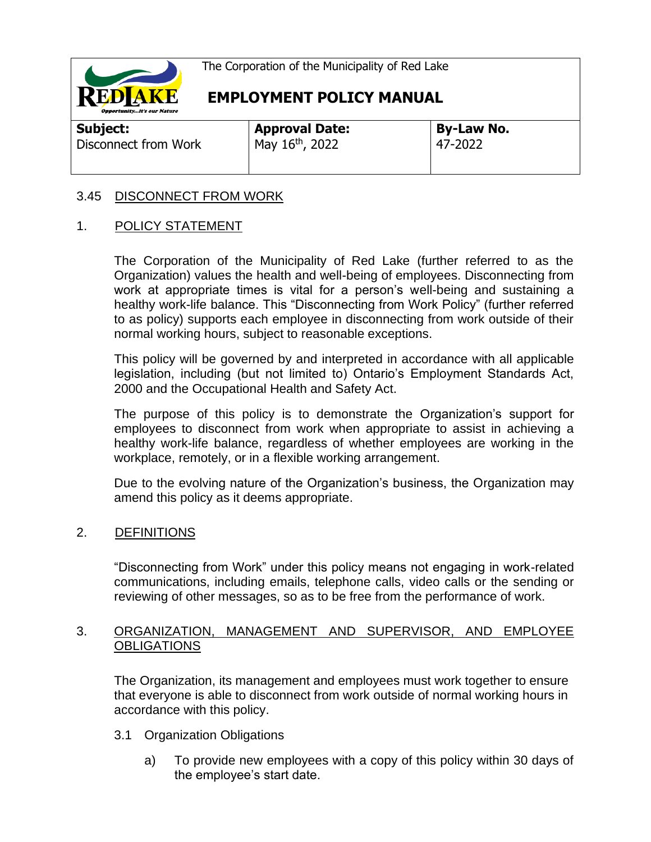

**EMPLOYMENT POLICY MANUAL**

**Subject:** 

| Junjeci.             |  |
|----------------------|--|
| Disconnect from Work |  |
|                      |  |

**Approval Date:**  $M$ ay 16<sup>th</sup>, 2022

**By-Law No.** 47-2022

# 3.45 DISCONNECT FROM WORK

# 1. POLICY STATEMENT

The Corporation of the Municipality of Red Lake (further referred to as the Organization) values the health and well-being of employees. Disconnecting from work at appropriate times is vital for a person's well-being and sustaining a healthy work-life balance. This "Disconnecting from Work Policy" (further referred to as policy) supports each employee in disconnecting from work outside of their normal working hours, subject to reasonable exceptions.

This policy will be governed by and interpreted in accordance with all applicable legislation, including (but not limited to) Ontario's Employment Standards Act, 2000 and the Occupational Health and Safety Act.

The purpose of this policy is to demonstrate the Organization's support for employees to disconnect from work when appropriate to assist in achieving a healthy work-life balance, regardless of whether employees are working in the workplace, remotely, or in a flexible working arrangement.

Due to the evolving nature of the Organization's business, the Organization may amend this policy as it deems appropriate.

# 2. DEFINITIONS

"Disconnecting from Work" under this policy means not engaging in work-related communications, including emails, telephone calls, video calls or the sending or reviewing of other messages, so as to be free from the performance of work.

## 3. ORGANIZATION, MANAGEMENT AND SUPERVISOR, AND EMPLOYEE **OBLIGATIONS**

The Organization, its management and employees must work together to ensure that everyone is able to disconnect from work outside of normal working hours in accordance with this policy.

- 3.1 Organization Obligations
	- a) To provide new employees with a copy of this policy within 30 days of the employee's start date.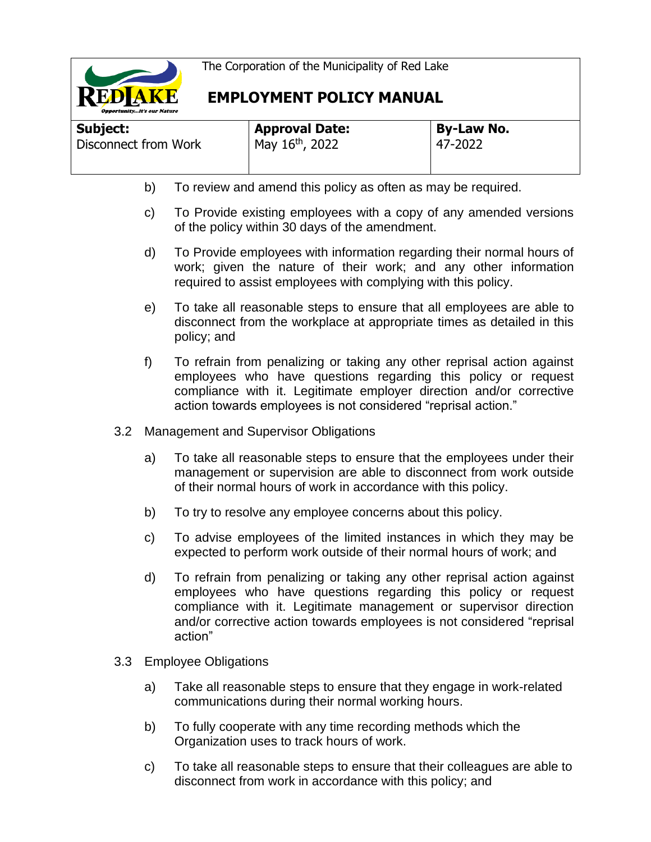

# **EMPLOYMENT POLICY MANUAL**

| Subject:             | <b>Approval Date:</b> | By-Law No. |  |
|----------------------|-----------------------|------------|--|
| Disconnect from Work | May 16th, 2022        | 47-2022    |  |
|                      |                       |            |  |

- b) To review and amend this policy as often as may be required.
- c) To Provide existing employees with a copy of any amended versions of the policy within 30 days of the amendment.
- d) To Provide employees with information regarding their normal hours of work; given the nature of their work; and any other information required to assist employees with complying with this policy.
- e) To take all reasonable steps to ensure that all employees are able to disconnect from the workplace at appropriate times as detailed in this policy; and
- f) To refrain from penalizing or taking any other reprisal action against employees who have questions regarding this policy or request compliance with it. Legitimate employer direction and/or corrective action towards employees is not considered "reprisal action."
- 3.2 Management and Supervisor Obligations
	- a) To take all reasonable steps to ensure that the employees under their management or supervision are able to disconnect from work outside of their normal hours of work in accordance with this policy.
	- b) To try to resolve any employee concerns about this policy.
	- c) To advise employees of the limited instances in which they may be expected to perform work outside of their normal hours of work; and
	- d) To refrain from penalizing or taking any other reprisal action against employees who have questions regarding this policy or request compliance with it. Legitimate management or supervisor direction and/or corrective action towards employees is not considered "reprisal action"
- 3.3 Employee Obligations
	- a) Take all reasonable steps to ensure that they engage in work-related communications during their normal working hours.
	- b) To fully cooperate with any time recording methods which the Organization uses to track hours of work.
	- c) To take all reasonable steps to ensure that their colleagues are able to disconnect from work in accordance with this policy; and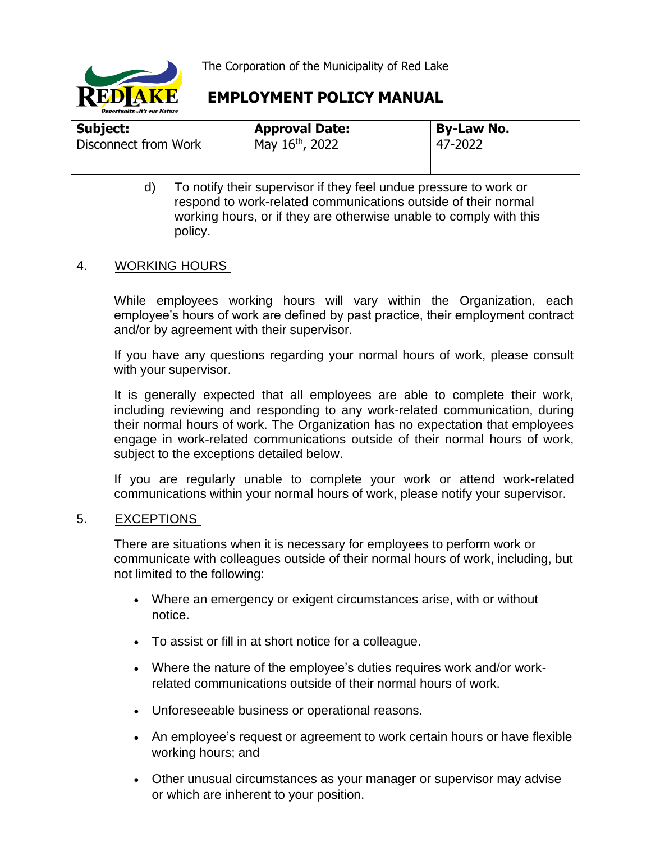

**EMPLOYMENT POLICY MANUAL**

| Subject:             | <b>Approval Date:</b> | <b>By-Law No.</b> |
|----------------------|-----------------------|-------------------|
| Disconnect from Work | May 16th, 2022        | 47-2022           |
|                      |                       |                   |
|                      |                       |                   |
|                      |                       |                   |

d) To notify their supervisor if they feel undue pressure to work or respond to work-related communications outside of their normal working hours, or if they are otherwise unable to comply with this policy.

## 4. WORKING HOURS

While employees working hours will vary within the Organization, each employee's hours of work are defined by past practice, their employment contract and/or by agreement with their supervisor.

If you have any questions regarding your normal hours of work, please consult with your supervisor.

It is generally expected that all employees are able to complete their work, including reviewing and responding to any work-related communication, during their normal hours of work. The Organization has no expectation that employees engage in work-related communications outside of their normal hours of work, subject to the exceptions detailed below.

If you are regularly unable to complete your work or attend work-related communications within your normal hours of work, please notify your supervisor.

### 5. EXCEPTIONS

There are situations when it is necessary for employees to perform work or communicate with colleagues outside of their normal hours of work, including, but not limited to the following:

- Where an emergency or exigent circumstances arise, with or without notice.
- To assist or fill in at short notice for a colleague.
- Where the nature of the employee's duties requires work and/or workrelated communications outside of their normal hours of work.
- Unforeseeable business or operational reasons.
- An employee's request or agreement to work certain hours or have flexible working hours; and
- Other unusual circumstances as your manager or supervisor may advise or which are inherent to your position.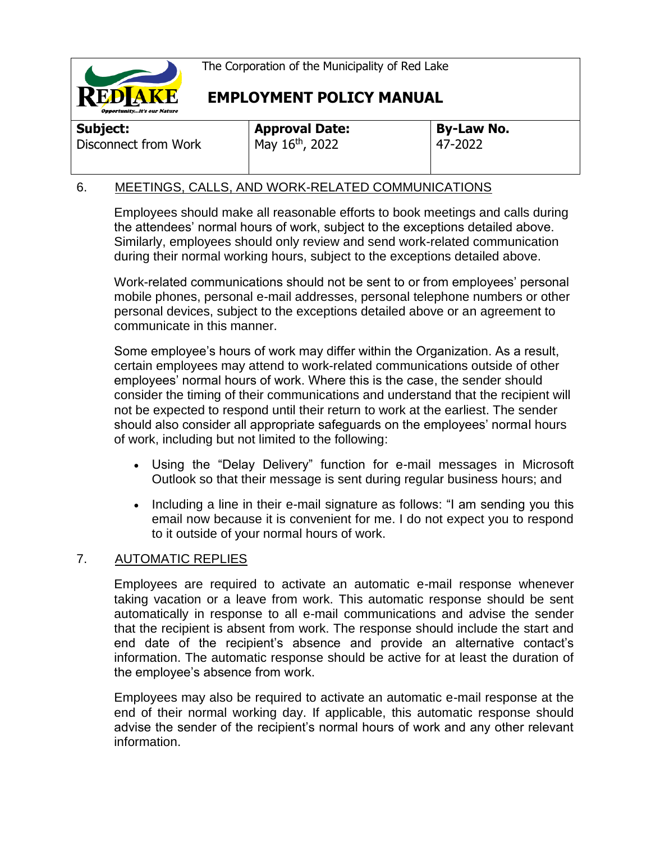

**EMPLOYMENT POLICY MANUAL**

**Subject:**  Disconnect from Work

**Approval Date:** May 16th, 2022

**By-Law No.** 47-2022

# 6. MEETINGS, CALLS, AND WORK-RELATED COMMUNICATIONS

Employees should make all reasonable efforts to book meetings and calls during the attendees' normal hours of work, subject to the exceptions detailed above. Similarly, employees should only review and send work-related communication during their normal working hours, subject to the exceptions detailed above.

Work-related communications should not be sent to or from employees' personal mobile phones, personal e-mail addresses, personal telephone numbers or other personal devices, subject to the exceptions detailed above or an agreement to communicate in this manner.

Some employee's hours of work may differ within the Organization. As a result, certain employees may attend to work-related communications outside of other employees' normal hours of work. Where this is the case, the sender should consider the timing of their communications and understand that the recipient will not be expected to respond until their return to work at the earliest. The sender should also consider all appropriate safeguards on the employees' normal hours of work, including but not limited to the following:

- Using the "Delay Delivery" function for e-mail messages in Microsoft Outlook so that their message is sent during regular business hours; and
- Including a line in their e-mail signature as follows: "I am sending you this email now because it is convenient for me. I do not expect you to respond to it outside of your normal hours of work.

### 7. AUTOMATIC REPLIES

Employees are required to activate an automatic e-mail response whenever taking vacation or a leave from work. This automatic response should be sent automatically in response to all e-mail communications and advise the sender that the recipient is absent from work. The response should include the start and end date of the recipient's absence and provide an alternative contact's information. The automatic response should be active for at least the duration of the employee's absence from work.

Employees may also be required to activate an automatic e-mail response at the end of their normal working day. If applicable, this automatic response should advise the sender of the recipient's normal hours of work and any other relevant information.